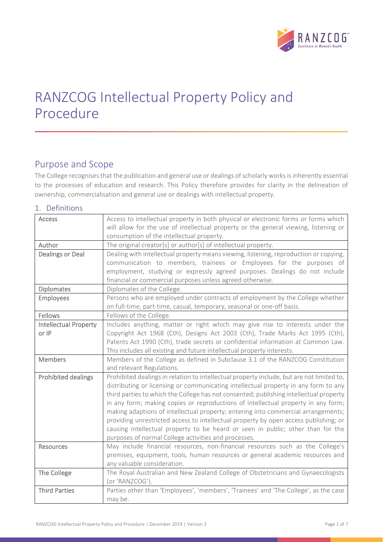

# RANZCOG Intellectual Property Policy and Procedure

# Purpose and Scope

The College recognises that the publication and general use or dealings of scholarly works is inherently essential to the processes of education and research. This Policy therefore provides for clarity in the delineation of ownership, commercialisation and general use or dealings with intellectual property.

# 1. Definitions

| <b>Access</b>                | Access to intellectual property in both physical or electronic forms or forms which                          |
|------------------------------|--------------------------------------------------------------------------------------------------------------|
|                              | will allow for the use of intellectual property or the general viewing, listening or                         |
|                              | consumption of the intellectual property.                                                                    |
| Author                       | The original creator[s] or author[s] of intellectual property.                                               |
| <b>Dealings or Deal</b>      | Dealing with intellectual property means viewing, listening, reproduction or copying,                        |
|                              | communication to members, trainees or Employees for the purposes of                                          |
|                              | employment, studying or expressly agreed purposes. Dealings do not include                                   |
|                              | financial or commercial purposes unless agreed otherwise.                                                    |
| <b>Diplomates</b>            | Diplomates of the College.                                                                                   |
| Employees                    | Persons who are employed under contracts of employment by the College whether                                |
|                              | on full-time, part-time, casual, temporary, seasonal or one-off basis.                                       |
| Fellows                      | Fellows of the College.                                                                                      |
| <b>Intellectual Property</b> | Includes anything, matter or right which may give rise to interests under the                                |
| or IP                        | Copyright Act 1968 (Cth), Designs Act 2003 (Cth), Trade Marks Act 1995 (Cth),                                |
|                              | Patents Act 1990 (Cth), trade secrets or confidential information at Common Law.                             |
|                              | This includes all existing and future intellectual property interests.                                       |
| <b>Members</b>               | Members of the College as defined in Subclause 3.1 of the RANZCOG Constitution                               |
|                              | and relevant Regulations.                                                                                    |
| <b>Prohibited dealings</b>   | Prohibited dealings in relation to intellectual property include, but are not limited to,                    |
|                              | distributing or licensing or communicating intellectual property in any form to any                          |
|                              | third parties to which the College has not consented; publishing intellectual property                       |
|                              | in any form; making copies or reproductions of intellectual property in any form;                            |
|                              | making adaptions of intellectual property; entering into commercial arrangements;                            |
|                              | providing unrestricted access to intellectual property by open access publishing; or                         |
|                              | causing intellectual property to be heard or seen in public; other than for the                              |
|                              | purposes of normal College activities and processes.                                                         |
| <b>Resources</b>             | May include financial resources, non-financial resources such as the College's                               |
|                              | premises, equipment, tools, human resources or general academic resources and<br>any valuable consideration. |
|                              |                                                                                                              |
| The College                  | The Royal Australian and New Zealand College of Obstetricians and Gynaecologists<br>(or 'RANZCOG').          |
| <b>Third Parties</b>         | Parties other than 'Employees', 'members', 'Trainees' and 'The College', as the case                         |
|                              | may be.                                                                                                      |
|                              |                                                                                                              |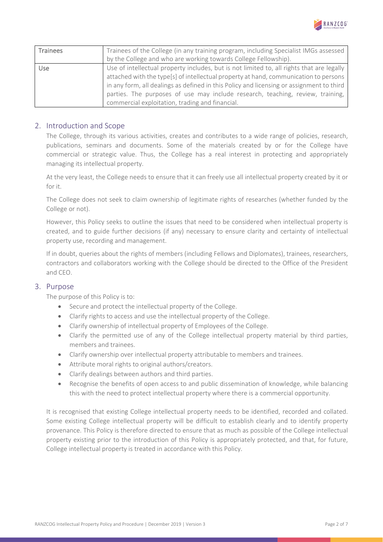

| Trainees   | Trainees of the College (in any training program, including Specialist IMGs assessed      |
|------------|-------------------------------------------------------------------------------------------|
|            | by the College and who are working towards College Fellowship).                           |
| <b>Use</b> | Use of intellectual property includes, but is not limited to, all rights that are legally |
|            | attached with the type[s] of intellectual property at hand, communication to persons      |
|            | in any form, all dealings as defined in this Policy and licensing or assignment to third  |
|            | parties. The purposes of use may include research, teaching, review, training,            |
|            | commercial exploitation, trading and financial.                                           |

# 2. Introduction and Scope

The College, through its various activities, creates and contributes to a wide range of policies, research, publications, seminars and documents. Some of the materials created by or for the College have commercial or strategic value. Thus, the College has a real interest in protecting and appropriately managing its intellectual property.

At the very least, the College needs to ensure that it can freely use all intellectual property created by it or for it.

The College does not seek to claim ownership of legitimate rights of researches (whether funded by the College or not).

However, this Policy seeks to outline the issues that need to be considered when intellectual property is created, and to guide further decisions (if any) necessary to ensure clarity and certainty of intellectual property use, recording and management.

If in doubt, queries about the rights of members (including Fellows and Diplomates), trainees, researchers, contractors and collaborators working with the College should be directed to the Office of the President and CEO.

#### 3. Purpose

The purpose of this Policy is to:

- Secure and protect the intellectual property of the College.
- Clarify rights to access and use the intellectual property of the College.
- Clarify ownership of intellectual property of Employees of the College.
- Clarify the permitted use of any of the College intellectual property material by third parties, members and trainees.
- Clarify ownership over intellectual property attributable to members and trainees.
- Attribute moral rights to original authors/creators.
- Clarify dealings between authors and third parties.
- Recognise the benefits of open access to and public dissemination of knowledge, while balancing this with the need to protect intellectual property where there is a commercial opportunity.

It is recognised that existing College intellectual property needs to be identified, recorded and collated. Some existing College intellectual property will be difficult to establish clearly and to identify property provenance. This Policy is therefore directed to ensure that as much as possible of the College intellectual property existing prior to the introduction of this Policy is appropriately protected, and that, for future, College intellectual property is treated in accordance with this Policy.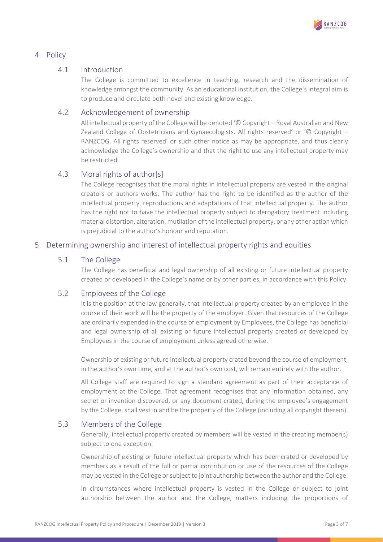

# 4. Policy

# 4.1 Introduction

The College is committed to excellence in teaching, research and the dissemination of knowledge amongst the community. As an educational institution, the College's integral aim is to produce and circulate both novel and existing knowledge.

# 4.2 Acknowledgement of ownership

All intellectual property of the College will be denoted '© Copyright – Royal Australian and New Zealand College of Obstetricians and Gynaecologists. All rights reserved' or '© Copyright – RANZCOG. All rights reserved' or such other notice as may be appropriate, and thus clearly acknowledge the College's ownership and that the right to use any intellectual property may be restricted.

# 4.3 Moral rights of author[s]

The College recognises that the moral rights in intellectual property are vested in the original creators or authors works. The author has the right to be identified as the author of the intellectual property, reproductions and adaptations of that intellectual property. The author has the right not to have the intellectual property subject to derogatory treatment including material distortion, alteration, mutilation of the intellectual property, or any other action which is prejudicial to the author's honour and reputation.

# 5. Determining ownership and interest of intellectual property rights and equities

#### 5.1 The College

The College has beneficial and legal ownership of all existing or future intellectual property created or developed in the College's name or by other parties, in accordance with this Policy.

#### 5.2 Employees of the College

It is the position at the law generally, that intellectual property created by an employee in the course of their work will be the property of the employer. Given that resources of the College are ordinarily expended in the course of employment by Employees, the College has beneficial and legal ownership of all existing or future intellectual property created or developed by Employees in the course of employment unless agreed otherwise.

Ownership of existing or future intellectual property crated beyond the course of employment, in the author's own time, and at the author's own cost, will remain entirely with the author.

All College staff are required to sign a standard agreement as part of their acceptance of employment at the College. That agreement recognises that any information obtained, any secret or invention discovered, or any document crated, during the employee's engagement by the College, shall vest in and be the property of the College (including all copyright therein).

#### 5.3 Members of the College

Generally, intellectual property created by members will be vested in the creating member(s) subject to one exception.

Ownership of existing or future intellectual property which has been crated or developed by members as a result of the full or partial contribution or use of the resources of the College may be vested in the College orsubject to joint authorship between the author and the College.

In circumstances where intellectual property is vested in the College or subject to joint authorship between the author and the College, matters including the proportions of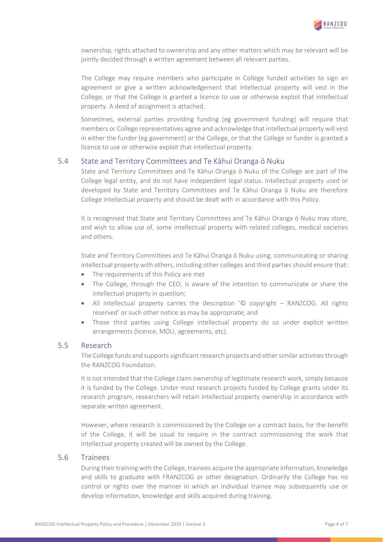

ownership, rights attached to ownership and any other matters which may be relevant will be jointly decided through a written agreement between all relevant parties.

The College may require members who participate in College funded activities to sign an agreement or give a written acknowledgement that intellectual property will vest in the College, or that the College is granted a licence to use or otherwise exploit that intellectual property. A deed of assignment is attached.

Sometimes, external parties providing funding (eg government funding) will require that members or College representatives agree and acknowledge that intellectual property will vest in either the funder (eg government) or the College, or that the College or funder is granted a licence to use or otherwise exploit that intellectual property.

#### 5.4 State and Territory Committees and Te Kāhui Oranga ō Nuku

State and Territory Committees and Te Kāhui Oranga ō Nuku of the College are part of the College legal entity, and do not have independent legal status. Intellectual property used or developed by State and Territory Committees and Te Kāhui Oranga ō Nuku are therefore College intellectual property and should be dealt with in accordance with this Policy.

It is recognised that State and Territory Committees and Te Kāhui Oranga ō Nuku may store, and wish to allow use of, some intellectual property with related colleges, medical societies and others.

State and Territory Committees and Te Kāhui Oranga ō Nuku using, communicating or sharing intellectual property with others, including other colleges and third parties should ensure that:

- The requirements of this Policy are met
- The College, through the CEO, is aware of the intention to communicate or share the intellectual property in question;
- All intellectual property carries the description '© copyright RANZCOG. All rights reserved' or such other notice as may be appropriate; and
- Those third parties using College intellectual property do so under explicit written arrangements (licence, MOU, agreements, etc).

# 5.5 Research

The College funds and supports significant research projects and other similar activities through the RANZCOG Foundation.

It is not intended that the College claim ownership of legitimate research work, simply because it is funded by the College. Under most research projects funded by College grants under its research program, researchers will retain intellectual property ownership in accordance with separate written agreement.

However, where research is commissioned by the College on a contract basis, for the benefit of the College, it will be usual to require in the contract commissioning the work that intellectual property created will be owned by the College.

#### 5.6 Trainees

During their training with the College, trainees acquire the appropriate information, knowledge and skills to graduate with FRANZCOG or other designation. Ordinarily the College has no control or rights over the manner in which an individual trainee may subsequently use or develop information, knowledge and skills acquired during training.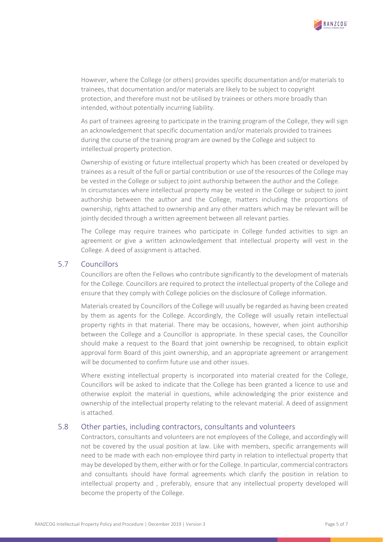

However, where the College (or others) provides specific documentation and/or materials to trainees, that documentation and/or materials are likely to be subject to copyright protection, and therefore must not be utilised by trainees or others more broadly than intended, without potentially incurring liability.

As part of trainees agreeing to participate in the training program of the College, they will sign an acknowledgement that specific documentation and/or materials provided to trainees during the course of the training program are owned by the College and subject to intellectual property protection.

Ownership of existing or future intellectual property which has been created or developed by trainees as a result of the full or partial contribution or use of the resources of the College may be vested in the College or subject to joint authorship between the author and the College. In circumstances where intellectual property may be vested in the College or subject to joint authorship between the author and the College, matters including the proportions of ownership, rights attached to ownership and any other matters which may be relevant will be jointly decided through a written agreement between all relevant parties.

The College may require trainees who participate in College funded activities to sign an agreement or give a written acknowledgement that intellectual property will vest in the College. A deed of assignment is attached.

# 5.7 Councillors

Councillors are often the Fellows who contribute significantly to the development of materials for the College. Councillors are required to protect the intellectual property of the College and ensure that they comply with College policies on the disclosure of College information.

Materials created by Councillors of the College will usually be regarded as having been created by them as agents for the College. Accordingly, the College will usually retain intellectual property rights in that material. There may be occasions, however, when joint authorship between the College and a Councillor is appropriate. In these special cases, the Councillor should make a request to the Board that joint ownership be recognised, to obtain explicit approval form Board of this joint ownership, and an appropriate agreement or arrangement will be documented to confirm future use and other issues.

Where existing intellectual property is incorporated into material created for the College, Councillors will be asked to indicate that the College has been granted a licence to use and otherwise exploit the material in questions, while acknowledging the prior existence and ownership of the intellectual property relating to the relevant material. A deed of assignment is attached.

#### 5.8 Other parties, including contractors, consultants and volunteers

Contractors, consultants and volunteers are not employees of the College, and accordingly will not be covered by the usual position at law. Like with members, specific arrangements will need to be made with each non‐employee third party in relation to intellectual property that may be developed by them, either with or for the College. In particular, commercial contractors and consultants should have formal agreements which clarify the position in relation to intellectual property and , preferably, ensure that any intellectual property developed will become the property of the College.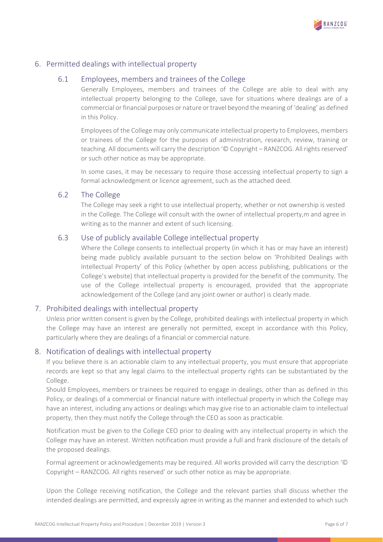

# 6. Permitted dealings with intellectual property

#### 6.1 Employees, members and trainees of the College

Generally Employees, members and trainees of the College are able to deal with any intellectual property belonging to the College, save for situations where dealings are of a commercial orfinancial purposes or nature or travel beyond the meaning of 'dealing' as defined in this Policy.

Employees of the College may only communicate intellectual property to Employees, members or trainees of the College for the purposes of administration, research, review, training or teaching. All documents will carry the description '© Copyright – RANZCOG. All rights reserved' or such other notice as may be appropriate.

In some cases, it may be necessary to require those accessing intellectual property to sign a formal acknowledgment or licence agreement, such as the attached deed.

# 6.2 The College

The College may seek a right to use intellectual property, whether or not ownership is vested in the College. The College will consult with the owner of intellectual property,m and agree in writing as to the manner and extent of such licensing.

# 6.3 Use of publicly available College intellectual property

Where the College consents to intellectual property (in which it has or may have an interest) being made publicly available pursuant to the section below on 'Prohibited Dealings with Intellectual Property' of this Policy (whether by open access publishing, publications or the College's website) that intellectual property is provided for the benefit of the community. The use of the College intellectual property is encouraged, provided that the appropriate acknowledgement of the College (and any joint owner or author) is clearly made.

#### 7. Prohibited dealings with intellectual property

Unless prior written consent is given by the College, prohibited dealings with intellectual property in which the College may have an interest are generally not permitted, except in accordance with this Policy, particularly where they are dealings of a financial or commercial nature.

#### 8. Notification of dealings with intellectual property

If you believe there is an actionable claim to any intellectual property, you must ensure that appropriate records are kept so that any legal claims to the intellectual property rights can be substantiated by the College.

Should Employees, members or trainees be required to engage in dealings, other than as defined in this Policy, or dealings of a commercial or financial nature with intellectual property in which the College may have an interest, including any actions or dealings which may give rise to an actionable claim to intellectual property, then they must notify the College through the CEO as soon as practicable.

Notification must be given to the College CEO prior to dealing with any intellectual property in which the College may have an interest. Written notification must provide a full and frank disclosure of the details of the proposed dealings.

Formal agreement or acknowledgements may be required. All works provided will carry the description '© Copyright – RANZCOG. All rights reserved' or such other notice as may be appropriate.

Upon the College receiving notification, the College and the relevant parties shall discuss whether the intended dealings are permitted, and expressly agree in writing as the manner and extended to which such